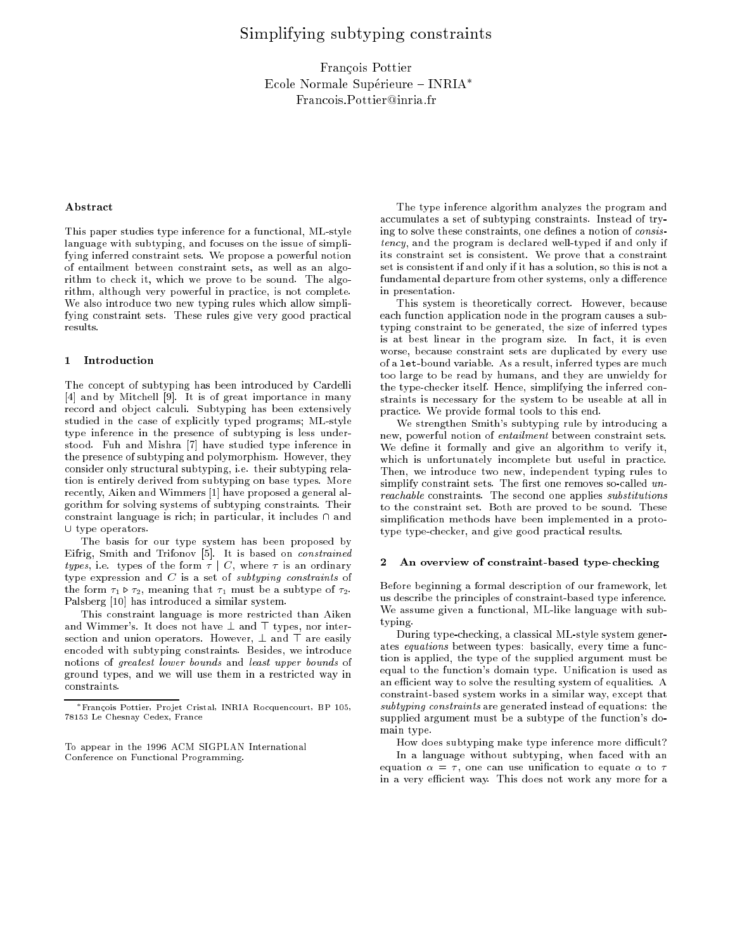# Simplifying subtyping constraints

Francois Pottier Ecole Normale Supérieure – INRIA\* Francois.Pottier@inria.fr

# Abstract

This paper studies type inference for a functional, ML-style language with subtyping, and focuses on the issue of simplifying inferred constraint sets. We propose a powerful notion of entailment between constraint sets, as well as an algorithm to check it, which we prove to be sound. The algorithm, although very powerful in practice, is not complete. We also introduce two new typing rules which allow simplifying constraint sets. These rules give very good practical results.

### 1 Introduction

The concept of subtyping has been introduced by Cardelli [4] and by Mitchell [9]. It is of great importance in many record and object calculi. Subtyping has been extensively studied in the case of explicitly typed programs; ML-style type inference in the presence of subtyping is less understood. Fuh and Mishra [7] have studied type inference in the presence of subtyping and polymorphism. However, they consider only structural subtyping, i.e. their subtyping relation is entirely derived from subtyping on base types. More recently, Aiken and Wimmers [1] have proposed a general algorithm for solving systems of subtyping constraints. Their constraint language is rich; in particular, it includes  $\cap$  and  $\cup$  type operators.

The basis for our type system has been proposed by Eifrig, Smith and Trifonov [5]. It is based on constrained types, i.e. types of the form  $\tau \mid C$ , where  $\tau$  is an ordinary type expression and  $C$  is a set of subtyping constraints of the form  $\tau_1 \triangleright \tau_2$ , meaning that  $\tau_1$  must be a subtype of  $\tau_2$ . Palsberg [10] has introduced a similar system.

This constraint language is more restricted than Aiken and Wimmer's. It does not have  $\perp$  and  $\top$  types, nor intersection and union operators. However,  $\bot$  and  $\top$  are easily encoded with subtyping constraints. Besides, we introduce notions of greatest lower bounds and least upper bounds of ground types, and we will use them in a restricted way in constraints.

The type inference algorithm analyzes the program and accumulates a set of subtyping constraints. Instead of trying to solve these constraints, one defines a notion of consistency, and the program is declared well-typed if and only if its constraint set is consistent. We prove that a constraint set is consistent if and only if it has a solution, so this is not a fundamental departure from other systems, only a difference in presentation.

This system is theoretically correct. However, because each function application node in the program causes a subtyping constraint to be generated, the size of inferred types is at best linear in the program size. In fact, it is even worse, because constraint sets are duplicated by every use of a let-bound variable. As a result, inferred types are much too large to be read by humans, and they are unwieldy for the type-checker itself. Hence, simplifying the inferred constraints is necessary for the system to be useable at all in practice. We provide formal tools to this end.

We strengthen Smith's subtyping rule by introducing a new, powerful notion of entailment between constraint sets. We define it formally and give an algorithm to verify it, which is unfortunately incomplete but useful in practice. Then, we introduce two new, independent typing rules to simplify constraint sets. The first one removes so-called  $un$ reachable constraints. The second one applies substitutions to the constraint set. Both are proved to be sound. These simplication methods have been implemented in a prototype type-checker, and give good practical results.

#### $\mathbf{2}$ 2 An overview of constraint-based type-checking

Before beginning a formal description of our framework, let us describe the principles of constraint-based type inference. We assume given a functional, ML-like language with subtvoing. typing. The contract of the contract of the contract of the contract of the contract of the contract of the contract of the contract of the contract of the contract of the contract of the contract of the contract of the co

During type-checking, a classical ML-style system generates equations between types: basically, every time a function is applied, the type of the supplied argument must be equal to the function's domain type. Unification is used as an efficient way to solve the resulting system of equalities. A constraint-based system works in a similar way, except that subtyping constraints are generated instead of equations: the supplied argument must be a subtype of the function's domain type. main type.

How does subtyping make type inference more difficult? In a language without subtyping, when faced with an equation  $\alpha = \tau$ , one can use unification to equate  $\alpha$  to  $\tau$ in a very efficient way. This does not work any more for a

Francois Pottier, Pro jet Cristal, INRIA Rocquencourt, BP 105, 78153 Le Chesnay Cedex, France

To appear in the 1996 ACM SIGPLAN International Conference on Functional Programming.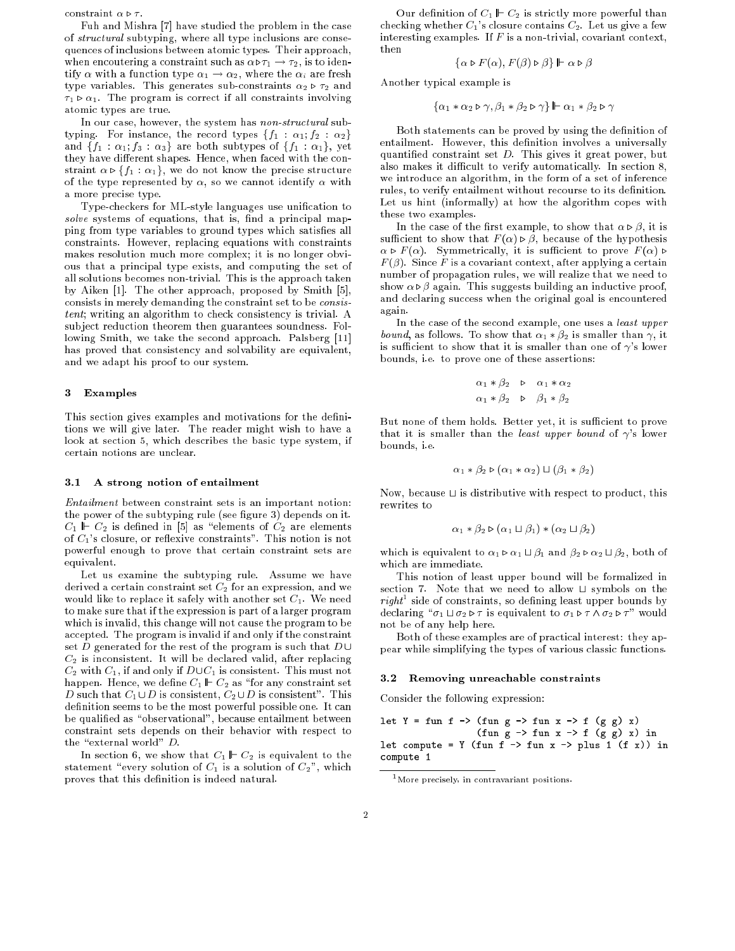constraint  $\alpha \triangleright \tau$ .

Fuh and Mishra [7] have studied the problem in the case of structural subtyping, where all type inclusions are consequences of inclusions between atomic types. Their approach, when encoutering a constraint such as  $\alpha\triangleright\tau_1 \rightarrow \tau_2$ , is to identify  $\alpha$  with a function type  $\alpha_1 \rightarrow \alpha_2$ , where the  $\alpha_i$  are fresh type variables. This generates sub-constraints  $\alpha_2 \triangleright \tau_2$  and  $\tau_1 \triangleright \alpha_1$ . The program is correct if all constraints involving atomic types are true.

In our case, however, the system has non-structural subtyping. For instance, the record types  $\{f_1 : \alpha_1; f_2 : \alpha_2\}$ and  $\{f_1 : \alpha_1; f_3 : \alpha_3\}$  are both subtypes of  $\{f_1 : \alpha_1\}$ , yet they have different shapes. Hence, when faced with the constraint  $\alpha \triangleright \{f_1 : \alpha_1\}$ , we do not know the precise structure of the type represented by  $\alpha$ , so we cannot identify  $\alpha$  with a more precise type.

Type-checkers for ML-style languages use unication to  $solve$  systems of equations, that is, find a principal mapping from type variables to ground types which satisfies all constraints. However, replacing equations with constraints makes resolution much more complex; it is no longer obvious that a principal type exists, and computing the set of all solutions becomes non-trivial. This is the approach taken by Aiken [1]. The other approach, proposed by Smith [5], consists in merely demanding the constraint set to be consistent; writing an algorithm to check consistency is trivial. A sub ject reduction theorem then guarantees soundness. Following Smith, we take the second approach. Palsberg [11] has proved that consistency and solvability are equivalent, and we adapt his proof to our system.

# 3 Examples

This section gives examples and motivations for the definitions we will give later. The reader might wish to have a look at section 5, which describes the basic type system, if certain notions are unclear.

# 3.1 A strong notion of entailment

Entailment between constraint sets is an important notion: the power of the subtyping rule (see figure 3) depends on it.  $C_1 \Vdash C_2$  is defined in [5] as "elements of  $C_2$  are elements of  $C_1$ 's closure, or reflexive constraints". This notion is not powerful enough to prove that certain constraint sets are equivalent.

Let us examine the subtyping rule. Assume we have derived a certain constraint set  $C_2$  for an expression, and we would like to replace it safely with another set  $C_1$ . We need to make sure that if the expression is part of a larger program which is invalid, this change will not cause the program to be accepted. The program is invalid if and only if the constraint set D generated for the rest of the program is such that  $D \cup$  $C_2$  is inconsistent. It will be declared valid, after replacing  $C_2$  with  $C_1$ , if and only if  $D\cup C_1$  is consistent. This must not happen. Hence, we define  $C_1 \Vdash C_2$  as "for any constraint set D such that  $C_1 \cup D$  is consistent,  $C_2 \cup D$  is consistent". This definition seems to be the most powerful possible one. It can be qualified as "observational", because entailment between constraint sets depends on their behavior with respect to the "external world"  $D$ .

In section 6, we show that  $C_1 \Vdash C_2$  is equivalent to the statement "every solution of  $C_1$  is a solution of  $C_2$ ", which proves that this definition is indeed natural.

Our definition of  $C_1 \Vdash C_2$  is strictly more powerful than checking whether  $C_1$ 's closure contains  $C_2$ . Let us give a few interesting examples. If  $F$  is a non-trivial, covariant context, then

$$
\{\alpha \triangleright F(\alpha), F(\beta) \triangleright \beta\} \Vdash \alpha \triangleright \beta
$$

Another typical example is

 $\{\alpha_1 * \alpha_2 \triangleright \gamma, \beta_1 * \beta_2 \triangleright \gamma\}$   $\mathbb{L} \alpha_1 * \beta_2 \triangleright \gamma$ 

Both statements can be proved by using the definition of entailment. However, this definition involves a universally quantied constraint set D. This gives it great power, but also makes it difficult to verify automatically. In section 8, we introduce an algorithm, in the form of a set of inference rules, to verify entailment without recourse to its definition. Let us hint (informally) at how the algorithm copes with these two examples.

In the case of the first example, to show that  $\alpha \triangleright \beta$ , it is sufficient to show that  $F(\alpha) \triangleright \beta$ , because of the hypothesis  $\alpha \triangleright F(\alpha)$ . Symmetrically, it is sufficient to prove  $F(\alpha) \triangleright$  $F(\beta)$ . Since F is a covariant context, after applying a certain number of propagation rules, we will realize that we need to show  $\alpha \triangleright \beta$  again. This suggests building an inductive proof, and declaring success when the original goal is encountered again.

In the case of the second example, one uses a least upper *bound*, as follows. To show that  $\alpha_1 * \beta_2$  is smaller than  $\gamma$ , it is sufficient to show that it is smaller than one of  $\gamma$ 's lower bounds, i.e. to prove one of these assertions:

$$
\alpha_1 * \beta_2 \quad \triangleright \quad \alpha_1 * \alpha_2
$$
  

$$
\alpha_1 * \beta_2 \quad \triangleright \quad \beta_1 * \beta_2
$$

But none of them holds. Better yet, it is sufficient to prove that it is smaller than the least upper bound of  $\gamma$ 's lower bounds. *i.e.*  $b = b$  is interesting, i.e., i.e., i.e., i.e., i.e., i.e., i.e., i.e., i.e., i.e., i.e., i.e., i.e., i.e., i.e., i.e., i.e., i.e., i.e., i.e., i.e., i.e., i.e., i.e., i.e., i.e., i.e., i.e., i.e., i.e., i.e., i.e., i.e., i

$$
\alpha_1 * \beta_2 \triangleright (\alpha_1 * \alpha_2) \sqcup (\beta_1 * \beta_2)
$$

Now, because  $\sqcup$  is distributive with respect to product, this rewrites to

$$
\alpha_1 * \beta_2 \triangleright (\alpha_1 \sqcup \beta_1) * (\alpha_2 \sqcup \beta_2)
$$

which is equivalent to  $\alpha_1 \triangleright \alpha_1 \sqcup \beta_1$  and  $\beta_2 \triangleright \alpha_2 \sqcup \beta_2$ , both of which are immediate.

This notion of least upper bound will be formalized in section 7. Note that we need to allow  $\sqcup$  symbols on the  $right$  side of constraints, so defining least upper bounds by declaring  $\mathscr{I}_{\sigma_1} \sqcup \sigma_2 \triangleright \tau$  is equivalent to  $\sigma_1 \triangleright \tau \wedge \sigma_2 \triangleright \tau$ " would not be of any help here.

Both of these examples are of practical interest: they appear while simplifying the types of various classic functions.

# 3.2 Removing unreachable constraints

Consider the following expression:

let  $Y = fun f \rightarrow (fun g \rightarrow fun x \rightarrow f (g g) x)$ (fun  $g \rightarrow$  fun  $x \rightarrow$  f  $(g \ g) \ x)$  in let compute = Y (fun f  $\text{-}$  > fun x  $\text{-}$  > plus 1 (f x)) in compute <sup>1</sup>

<sup>1</sup>More precisely, in contravariant positions.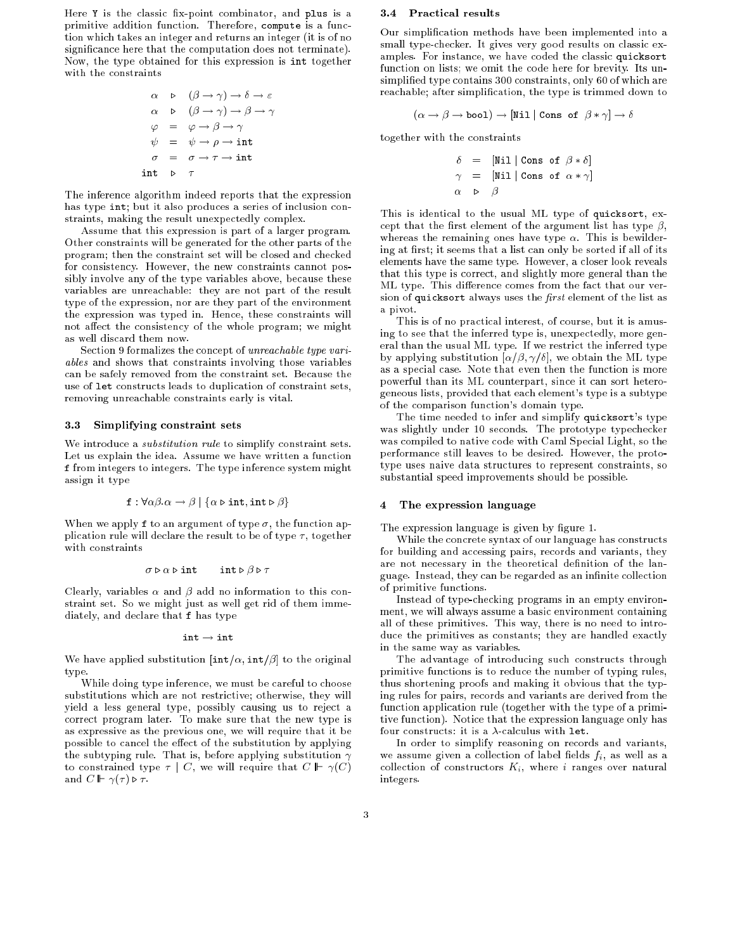Here Y is the classic fix-point combinator, and plus is a primitive addition function. Therefore, compute is a function which takes an integer and returns an integer (it is of no signicance here that the computation does not terminate). Now, the type obtained for this expression is int together with the constraints

$$
\alpha \quad \triangleright \quad (\beta \to \gamma) \to \delta \to \varepsilon
$$
  
\n
$$
\alpha \quad \triangleright \quad (\beta \to \gamma) \to \beta \to \gamma
$$
  
\n
$$
\varphi \quad = \quad \varphi \to \beta \to \gamma
$$
  
\n
$$
\psi \quad = \quad \psi \to \rho \to \text{int}
$$
  
\n
$$
\sigma \quad = \quad \sigma \to \tau \to \text{int}
$$
  
\n
$$
\text{int} \quad \triangleright \quad \tau
$$

The inference algorithm indeed reports that the expression has type int; but it also produces a series of inclusion constraints, making the result unexpectedly complex.

Assume that this expression is part of a larger program. Other constraints will be generated for the other parts of the program; then the constraint set will be closed and checked for consistency. However, the new constraints cannot possibly involve any of the type variables above, because these variables are unreachable: they are not part of the result type of the expression, nor are they part of the environment the expression was typed in. Hence, these constraints will not affect the consistency of the whole program; we might as well discard them now.

Section 9 formalizes the concept of  $\it unreachable$  type  $\it vari$ ables and shows that constraints involving those variables can be safely removed from the constraint set. Because the use of let constructs leads to duplication of constraint sets, removing unreachable constraints early is vital.

## 3.3 Simplifying constraint sets

We introduce a *substitution rule* to simplify constraint sets. Let us explain the idea. Assume we have written a function <sup>f</sup> from integers to integers. The type inference system might assign it type

$$
\mathbf{f} : \forall \alpha \beta . \alpha \rightarrow \beta \mid \{ \alpha \triangleright \mathbf{int}, \mathbf{int} \triangleright \beta \}
$$

When we apply f to an argument of type  $\sigma$ , the function application rule will declare the result to be of type  $\tau$ , together with constraints

$$
\sigma \triangleright \alpha \triangleright \text{int}
$$
 int  $\triangleright \beta \triangleright \tau$ 

Clearly, variables  $\alpha$  and  $\beta$  add no information to this constraint set. So we might just as well get rid of them immediately, and declare that <sup>f</sup> has type

$$
\mathtt{int} \to \mathtt{int}
$$

We have applied substitution  $[\text{int}/\alpha, \text{int}/\beta]$  to the original type type. The contract of the contract of the contract of the contract of the contract of the contract of the contract of the contract of the contract of the contract of the contract of the contract of the contract of the cont

While doing type inference, we must be careful to choose substitutions which are not restrictive; otherwise, they will yield a less general type, possibly causing us to reject a correct program later. To make sure that the new type is as expressive as the previous one, we will require that it be possible to cancel the effect of the substitution by applying the subtyping rule. That is, before applying substitution  $\gamma$ to constrained type  $\tau \mid C$ , we will require that  $C \Vdash \gamma(C)$ and  $C \Vdash \gamma(\tau) \triangleright \tau$ .

# 3.4 Practical results

Our simplication methods have been implemented into a small type-checker. It gives very good results on classic examples. For instance, we have coded the classic quicksort function on lists; we omit the code here for brevity. Its unsimplified type contains 300 constraints, only 60 of which are reachable; after simplication, the type is trimmed down to

$$
(\alpha \to \beta \to \text{bool}) \to [\text{Nil} \mid \text{Cons of } \beta * \gamma] \to \delta
$$

together with the constraints

$$
\delta = [\texttt{Nil} | \texttt{Cons of } \beta * \delta]
$$
  
\n
$$
\gamma = [\texttt{Nil} | \texttt{Cons of } \alpha * \gamma]
$$
  
\n
$$
\alpha \quad \triangleright \quad \beta
$$

This is identical to the usual ML type of quicksort, except that the first element of the argument list has type  $\beta$ , whereas the remaining ones have type  $\alpha$ . This is bewildering at first; it seems that a list can only be sorted if all of its elements have the same type. However, a closer look reveals that this type is correct, and slightly more general than the ML type. This difference comes from the fact that our version of quicksort always uses the first element of the list as a pivot.

This is of no practical interest, of course, but it is amusing to see that the inferred type is, unexpectedly, more general than the usual ML type. If we restrict the inferred type by applying substitution  $[\alpha/\beta, \gamma/\delta]$ , we obtain the ML type as a special case. Note that even then the function is more powerful than its ML counterpart, since it can sort heterogeneous lists, provided that each element's type is a subtype of the comparison function's domain type.

The time needed to infer and simplify quicksort's type was slightly under 10 seconds. The prototype typechecker was compiled to native code with Caml Special Light, so the performance still leaves to be desired. However, the prototype uses naive data structures to represent constraints, so substantial speed improvements should be possible.

#### 4 The expression language

The expression language is given by figure 1.

While the concrete syntax of our language has constructs for building and accessing pairs, records and variants, they are not necessary in the theoretical definition of the language. Instead, they can be regarded as an infinite collection of primitive functions.

Instead of type-checking programs in an empty environment, we will always assume a basic environment containing all of these primitives. This way, there is no need to introduce the primitives as constants; they are handled exactly in the same way as variables.

The advantage of introducing such constructs through primitive functions is to reduce the number of typing rules, thus shortening proofs and making it obvious that the typing rules for pairs, records and variants are derived from the function application rule (together with the type of a primitive function). Notice that the expression language only has four constructs: it is a  $\lambda$ -calculus with let.

In order to simplify reasoning on records and variants, we assume given a collection of label fields  $f_i$ , as well as a collection of constructors  $K_i$ , where i ranges over natural integers.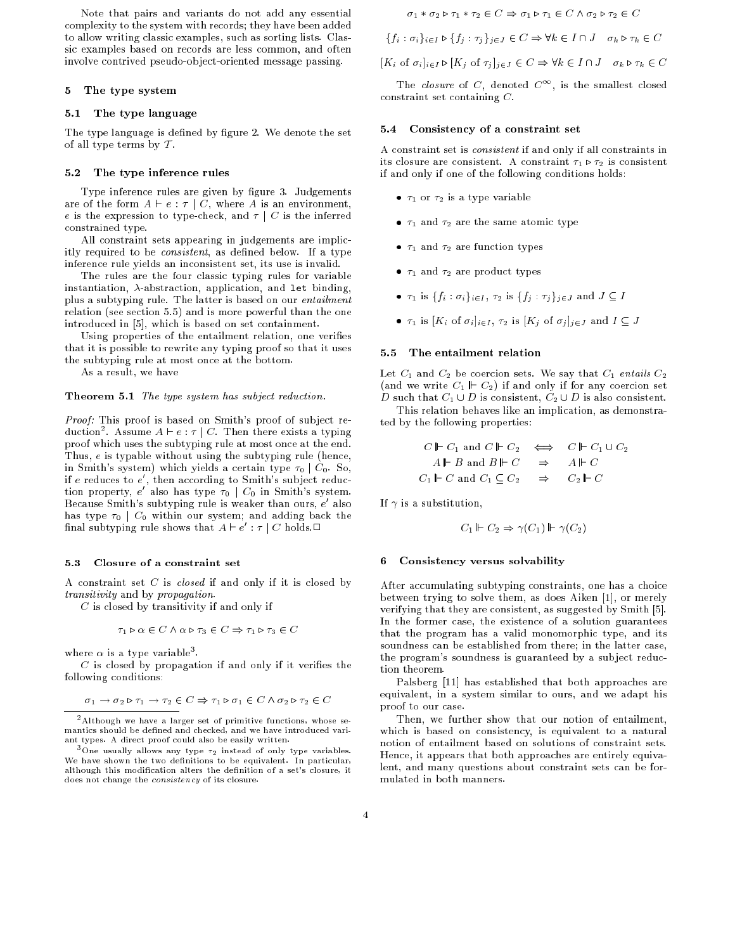Note that pairs and variants do not add any essential complexity to the system with records; they have been added to allow writing classic examples, such as sorting lists. Classic examples based on records are less common, and often involve contrived pseudo-ob ject-oriented message passing.

# 5 The type system

#### $5.1$ The type language

The type language is defined by figure 2. We denote the set of all type terms by  $T$ .

# 5.2 The type inference rules

Type inference rules are given by figure 3. Judgements are of the form  $A \vdash e : \tau \mid C$ , where A is an environment, e is the expression to type-check, and  $\tau \mid C$  is the inferred constrained type.

All constraint sets appearing in judgements are implicitly required to be *consistent*, as defined below. If a type inference rule yields an inconsistent set, its use is invalid.

The rules are the four classic typing rules for variable instantiation,  $\lambda$ -abstraction, application, and let binding, plus a subtyping rule. The latter is based on our *entailment* relation (see section 5.5) and is more powerful than the one introduced in [5], which is based on set containment.

Using properties of the entailment relation, one verifies that it is possible to rewrite any typing proof so that it uses the subtyping rule at most once at the bottom.

As a result, we have

Theorem 5.1 The type system has subject reduction.

Proof: This proof is based on Smith's proof of subject reduction<sup>2</sup>. Assume  $A \vdash e : \tau \mid C$ . Then there exists a typing proof which uses the subtyping rule at most once at the end. Thus, e is typable without using the subtyping rule (hence, in Smith's system) which yields a certain type  $\tau_0 \mid C_0$ . So, if  $e$  reduces to  $e'$ , then according to Smith's subject reduction property,  $e'$  also has type  $\tau_0 \mid C_0$  in Smith's system. Because Smith's subtyping rule is weaker than ours,  $e^\prime$  also has type  $\tau_0$  |  $C_0$  within our system; and adding back the final subtyping rule shows that  $A \vdash e' : \tau \mathbin{\mathop{\rm !}} C$  holds. $\Box$ 

#### 5.3 Closure of a constraint set

A constraint set  $C$  is *closed* if and only if it is closed by transitivity and by propagation.

 $C$  is closed by transitivity if and only if

$$
\tau_1 \triangleright \alpha \in C \land \alpha \triangleright \tau_3 \in C \Rightarrow \tau_1 \triangleright \tau_3 \in C
$$

where  $\alpha$  is a type variable .

 $C$  is closed by propagation if and only if it verifies the following conditions:

$$
\sigma_1 \to \sigma_2 \triangleright \tau_1 \to \tau_2 \in C \Rightarrow \tau_1 \triangleright \sigma_1 \in C \land \sigma_2 \triangleright \tau_2 \in C
$$

$$
\sigma_1 * \sigma_2 \triangleright \tau_1 * \tau_2 \in C \Rightarrow \sigma_1 \triangleright \tau_1 \in C \land \sigma_2 \triangleright \tau_2 \in C
$$

$$
\{f_i : \sigma_i\}_{i \in I} \triangleright \{f_j : \tau_j\}_{j \in J} \in C \Rightarrow \forall k \in I \cap J \quad \sigma_k \triangleright \tau_k \in C
$$

$$
[K_i \text{ of } \sigma_i]_{i \in I} \triangleright [K_j \text{ of } \tau_j]_{j \in J} \in C \Rightarrow \forall k \in I \cap J \quad \sigma_k \triangleright \tau_k \in C
$$

The *closure* of C, denoted  $C^{\infty}$ , is the smallest closed constraint set containing C.

#### 5.4 Consistency of a constraint set

A constraint set is consistent if and only if all constraints in its closure are consistent. A constraint  $\tau_1 \triangleright \tau_2$  is consistent if and only if one of the following conditions holds:

- $\tau_1$  or  $\tau_2$  is a type variable
- $\tau_1$  and  $\tau_2$  are the same atomic type
- $\tau_1$  and  $\tau_2$  are function types
- $\tau_1$  and  $\tau_2$  are product types
- $\tau_1$  is  $\{f_i : \sigma_i\}_{i\in I}$ ,  $\tau_2$  is  $\{f_j : \tau_j\}_{j\in J}$  and  $J \subseteq I$
- $\tau_1$  is  $[K_i \text{ of } \sigma_i]_{i \in I}, \tau_2$  is  $[K_j \text{ of } \sigma_j]_{j \in J}$  and  $I \subseteq J$

#### The entailment relation  $5.5$

Let  $C_1$  and  $C_2$  be coercion sets. We say that  $C_1$  entails  $C_2$ (and we write  $C_1 \Vdash C_2$ ) if and only if for any coercion set D such that  $C_1 \cup D$  is consistent,  $C_2 \cup D$  is also consistent.

This relation behaves like an implication, as demonstrated by the following properties:

$$
C \Vdash C_1 \text{ and } C \Vdash C_2 \iff C \Vdash C_1 \cup C_2
$$
  

$$
A \Vdash B \text{ and } B \Vdash C \Rightarrow A \Vdash C
$$
  

$$
C_1 \Vdash C \text{ and } C_1 \subseteq C_2 \Rightarrow C_2 \Vdash C
$$

If  $\gamma$  is a substitution,

$$
C_1 \Vdash C_2 \Rightarrow \gamma(C_1) \Vdash \gamma(C_2)
$$

#### 6 Consistency versus solvability

After accumulating subtyping constraints, one has a choice between trying to solve them, as does Aiken [1], or merely verifying that they are consistent, as suggested by Smith [5]. In the former case, the existence of a solution guarantees that the program has a valid monomorphic type, and its soundness can be established from there; in the latter case, the program's soundness is guaranteed by a subject reduction theorem.

Palsberg [11] has established that both approaches are equivalent, in a system similar to ours, and we adapt his proof to our case.

Then, we further show that our notion of entailment, which is based on consistency, is equivalent to a natural notion of entailment based on solutions of constraint sets. Hence, it appears that both approaches are entirely equivalent, and many questions about constraint sets can be formulated in both manners.

<sup>2</sup> Although we have a larger set of primitive functions, whose semantics should be defined and checked, and we have introduced variant types. A direct proof could also be easily written.

<sup>&</sup>lt;sup>3</sup>One usually allows any type  $\tau_2$  instead of only type variables. We have shown the two definitions to be equivalent. In particular, although this modification alters the definition of a set's closure, it does not change the consistency of its closure.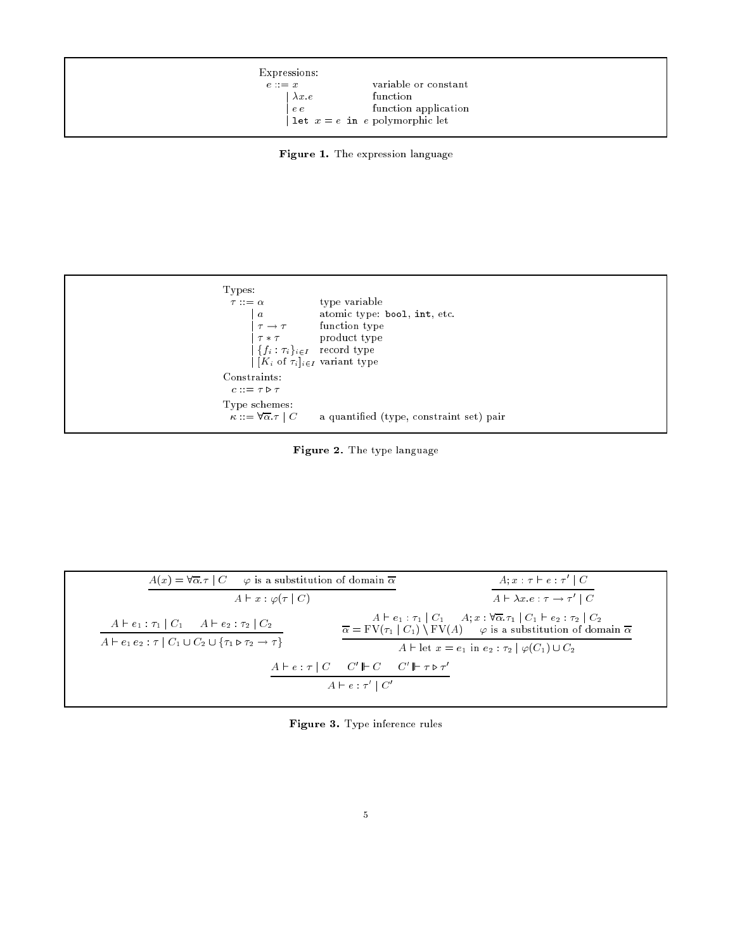| Expressions:  |                                  |  |
|---------------|----------------------------------|--|
| $e := x$      | variable or constant             |  |
| $\lambda x.e$ | function                         |  |
| $e\,e$        | function application             |  |
|               | let $x = e$ in e polymorphic let |  |

Figure 1. The expression language



Figure 2. The type language

| $A(x) = \forall \overline{\alpha} \cdot \tau \mid C \quad \varphi$ is a substitution of domain $\overline{\alpha}$ | $A; x : \tau \vdash e : \tau' \mid C$                                                                                                                                                                                                                    |
|--------------------------------------------------------------------------------------------------------------------|----------------------------------------------------------------------------------------------------------------------------------------------------------------------------------------------------------------------------------------------------------|
| $A \vdash x : \varphi(\tau   C)$                                                                                   | $A \vdash \lambda x.e : \tau \rightarrow \tau' \mid C$                                                                                                                                                                                                   |
| $A \vdash e_1 : \tau_1 \mid C_1 \quad A \vdash e_2 : \tau_2 \mid C_2$                                              | $A \vdash e_1 : \tau_1 \mid C_1 \quad A; x : \forall \overline{\alpha} . \tau_1 \mid C_1 \vdash e_2 : \tau_2 \mid C_2$<br>$\overline{\alpha} = \text{FV}(\tau_1   C_1) \setminus \text{FV}(A)$ $\varphi$ is a substitution of domain $\overline{\alpha}$ |
| $A \vdash e_1 e_2 : \tau \mid C_1 \cup C_2 \cup \{\tau_1 \triangleright \tau_2 \rightarrow \tau\}$                 | $A \vdash \mathrm{let} \ x = e_1 \text{ in } e_2 : \tau_2 \mid \varphi(C_1) \cup C_2$                                                                                                                                                                    |
|                                                                                                                    | $A \vdash e : \tau \mid C \quad C' \Vdash C \quad C' \Vdash \tau \triangleright \tau'$                                                                                                                                                                   |
|                                                                                                                    | $A \vdash e : \tau' \mid C'$                                                                                                                                                                                                                             |

Figure 3. Type inference rules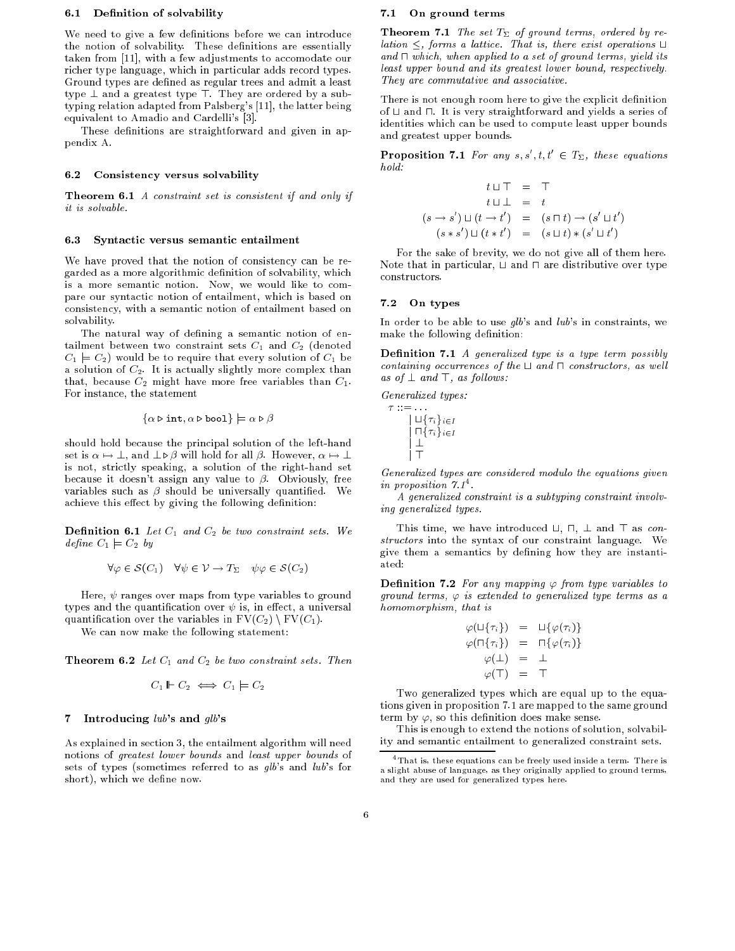### 6.1 Definition of solvability

We need to give a few definitions before we can introduce the notion of solvability. These definitions are essentially taken from [11], with a few adjustments to accomodate our richer type language, which in particular adds record types. Ground types are defined as regular trees and admit a least type  $\perp$  and a greatest type  $\top$ . They are ordered by a subtyping relation adapted from Palsberg's [11], the latter being equivalent to Amadio and Cardelli's [3].

These definitions are straightforward and given in appendix A.

### 6.2 Consistency versus solvability

Theorem 6.1 A constraint set is consistent if and only if *it is solvable.* 

#### 6.3 Syntactic versus semantic entailment

We have proved that the notion of consistency can be regarded as a more algorithmic definition of solvability, which is a more semantic notion. Now, we would like to compare our syntactic notion of entailment, which is based on consistency, with a semantic notion of entailment based on solvability. solvability.

The natural way of defining a semantic notion of entailment between two constraint sets  $C_1$  and  $C_2$  (denoted  $C_1 \models C_2$  would be to require that every solution of  $C_1$  be a solution of  $C_2$ . It is actually slightly more complex than that, because  $C_2$  might have more free variables than  $C_1$ . For instance, the statement

$$
\{\alpha \triangleright \mathtt{int}, \alpha \triangleright \mathtt{bool}\}\models \alpha \triangleright \beta
$$

should hold because the principal solution of the left-hand set is  $\alpha \mapsto \bot$ , and  $\bot \triangleright \beta$  will hold for all  $\beta$ . However,  $\alpha \mapsto \bot$ is not, strictly speaking, a solution of the right-hand set because it doesn't assign any value to  $\beta$ . Obviously, free variables such as  $\beta$  should be universally quantified. We achieve this effect by giving the following definition:

**Definition 6.1** Let  $C_1$  and  $C_2$  be two constraint sets. We  $define C_1 \models C_2 by$ 

$$
\forall \varphi \in \mathcal{S}(C_1) \quad \forall \psi \in \mathcal{V} \to T_{\Sigma} \quad \psi \varphi \in \mathcal{S}(C_2)
$$

Here,  $\psi$  ranges over maps from type variables to ground types and the quantification over  $\psi$  is, in effect, a universal quantification over the variables in  $FV(C_2) \setminus FV(C_1)$ .

We can now make the following statement:

**Theorem 6.2** Let  $C_1$  and  $C_2$  be two constraint sets. Then

$$
C_1 \Vdash C_2 \iff C_1 \models C_2
$$

# 7 Introducing  $lub$ 's and  $glb$ 's

As explained in section 3, the entailment algorithm will need notions of greatest lower bounds and least upper bounds of sets of types (sometimes referred to as  $glb$ 's and  $lub$ 's for short), which we define now.

# 7.1 On ground terms

**Theorem 7.1** The set  $T_{\Sigma}$  of ground terms, ordered by relation  $\leq$ , forms a lattice. That is, there exist operations  $\Box$ and  $\sqcap$  which, when applied to a set of ground terms, yield its least upper bound and its greatest lower bound, respectively. They are commutative and associative.

There is not enough room here to give the explicit definition of  $\sqcup$  and  $\sqcap$ . It is very straightforward and yields a series of identities which can be used to compute least upper bounds and greatest upper bounds.

**Proposition 7.1** For any  $s, s', t, t' \in T_{\Sigma}$ , these equations hold:

$$
t \sqcup \top = \top
$$
  
\n
$$
t \sqcup \bot = t
$$
  
\n
$$
(s \rightarrow s') \sqcup (t \rightarrow t') = (s \sqcap t) \rightarrow (s' \sqcup t')
$$
  
\n
$$
(s * s') \sqcup (t * t') = (s \sqcup t) * (s' \sqcup t')
$$

For the sake of brevity, we do not give all of them here. Note that in particular,  $\sqcup$  and  $\sqcap$  are distributive over type constructors.

# 7.2 On types

In order to be able to use  $qlb$ 's and  $lub$ 's in constraints, we make the following definition:

**Definition 7.1** A generalized type is a type term possibly containing occurrences of the  $\sqcup$  and  $\sqcap$  constructors, as well as of  $\perp$  and  $\top$ , as follows:

Generalized types:

| $\sqcup \{\tau_i\}_{i\in I}$ |
|------------------------------|
| $\sqcap \{\tau_i\}_{i\in I}$ |
|                              |
|                              |

Generalized types are considered modulo the equations given in proposition  $11$ .

A generalized constraint is a subtyping constraint involving generalized types.

This time, we have introduced  $\sqcup$ ,  $\sqcap$ ,  $\perp$  and  $\top$  as constructors into the syntax of our constraint language. We give them a semantics by defining how they are instantiated:

**Definition 7.2** For any mapping  $\varphi$  from type variables to ground terms,  $\varphi$  is extended to generalized type terms as a homomorphism, that is

$$
\varphi(\sqcup\{\tau_i\}) = \sqcup\{\varphi(\tau_i)\}
$$
  

$$
\varphi(\sqcap\{\tau_i\}) = \sqcap\{\varphi(\tau_i)\}
$$
  

$$
\varphi(\bot) = \bot
$$
  

$$
\varphi(\top) = \top
$$

Two generalized types which are equal up to the equations given in proposition 7.1 are mapped to the same ground term by  $\varphi$ , so this definition does make sense.

This is enough to extend the notions of solution, solvability and semantic entailment to generalized constraint sets.

<sup>4</sup> That is, these equations can be freely used inside a term. There is a slight abuse of language, as they originally applied to ground terms, and they are used for generalized types here.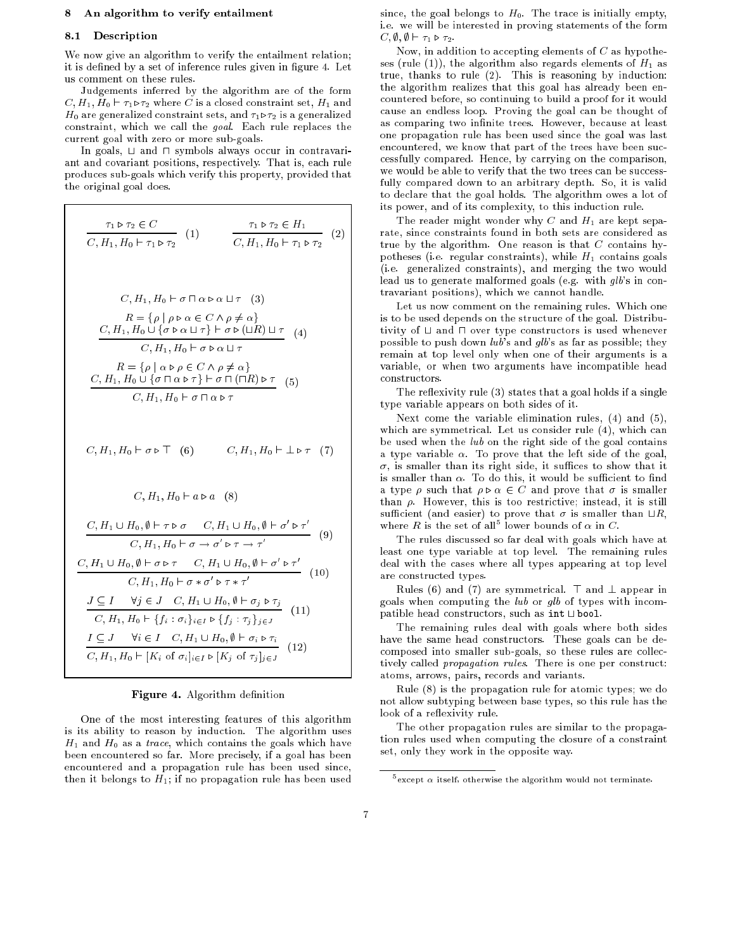# 8 An algorithm to verify entailment

## 8.1 Description

We now give an algorithm to verify the entailment relation; it is defined by a set of inference rules given in figure 4. Let us comment on these rules.

Judgements inferred by the algorithm are of the form  $C, H_1, H_0 \vdash \tau_1 \triangleright \tau_2$  where C is a closed constraint set,  $H_1$  and  $H_0$  are generalized constraint sets, and  $\tau_1 \triangleright \tau_2$  is a generalized constraint, which we call the goal. Each rule replaces the current goal with zero or more sub-goals.

In goals,  $\sqcup$  and  $\sqcap$  symbols always occur in contravariant and covariant positions, respectively. That is, each rule produces sub-goals which verify this property, provided that the original goal does.

$$
\frac{\tau_{1} \triangleright \tau_{2} \in C}{C, H_{1}, H_{0} \vdash \tau_{1} \triangleright \tau_{2}} \quad (1) \qquad \frac{\tau_{1} \triangleright \tau_{2} \in H_{1}}{C, H_{1}, H_{0} \vdash \tau_{1} \triangleright \tau_{2}} \quad (2)
$$
\n
$$
C, H_{1}, H_{0} \vdash \sigma \sqcap \alpha \triangleright \alpha \sqcup \tau \quad (3)
$$
\n
$$
R = \{ \rho \mid \rho \triangleright \alpha \in C \land \rho \neq \alpha \}
$$
\n
$$
\frac{C, H_{1}, H_{0} \cup \{ \sigma \triangleright \alpha \sqcup \tau \} \vdash \sigma \triangleright (\sqcup R) \sqcup \tau}{C, H_{1}, H_{0} \cup \{ \sigma \triangleright \alpha \sqcup \tau \} \vdash \sigma \triangleright (\sqcup R) \sqcup \tau} \quad (4)
$$
\n
$$
R = \{ \rho \mid \alpha \triangleright \rho \in C \land \rho \neq \alpha \}
$$
\n
$$
\frac{C, H_{1}, H_{0} \cup \{ \sigma \sqcap \alpha \triangleright \tau \} \vdash \sigma \sqcap (\sqcap R) \triangleright \tau}{C, H_{1}, H_{0} \vdash \sigma \sqcap \alpha \triangleright \tau} \quad (5)
$$
\n
$$
C, H_{1}, H_{0} \vdash \sigma \sqcap \alpha \triangleright \tau \quad (6)
$$
\n
$$
C, H_{1}, H_{0} \vdash \alpha \triangleright \alpha \quad (8)
$$
\n
$$
\frac{C, H_{1} \cup H_{0}, \emptyset \vdash \tau \triangleright \sigma \quad C, H_{1} \cup H_{0}, \emptyset \vdash \sigma' \triangleright \tau'}{C, H_{1} \sqcup H_{0} \vdash \sigma \rightarrow \sigma' \triangleright \tau \rightarrow \tau'} \quad (9)
$$
\n
$$
\frac{C, H_{1} \cup H_{0}, \emptyset \vdash \sigma \triangleright \tau \quad C, H_{1} \cup H_{0}, \emptyset \vdash \sigma' \triangleright \tau'}{C, H_{1} \sqcup H_{0} \vdash \sigma \rightarrow \sigma' \triangleright \tau \rightarrow \tau'} \quad (10)
$$
\n
$$
\frac{J \subseteq I \quad \forall j \in J \quad C, H_{1}
$$

# Figure 4. Algorithm definition

One of the most interesting features of this algorithm is its ability to reason by induction. The algorithm uses  $H_1$  and  $H_0$  as a *trace*, which contains the goals which have been encountered so far. More precisely, if a goal has been encountered and a propagation rule has been used since, then it belongs to  $H_1$ ; if no propagation rule has been used

since, the goal belongs to  $H_0$ . The trace is initially empty, i.e. we will be interested in proving statements of the form  $C, \emptyset, \emptyset \vdash \tau_1 \triangleright \tau_2.$ 

Now, in addition to accepting elements of  $C$  as hypotheses (rule (1)), the algorithm also regards elements of  $H_1$  as true, thanks to rule (2). This is reasoning by induction: the algorithm realizes that this goal has already been encountered before, so continuing to build a proof for it would cause an endless loop. Proving the goal can be thought of as comparing two infinite trees. However, because at least one propagation rule has been used since the goal was last encountered, we know that part of the trees have been successfully compared. Hence, by carrying on the comparison, we would be able to verify that the two trees can be successfully compared down to an arbitrary depth. So, it is valid to declare that the goal holds. The algorithm owes a lot of its power, and of its complexity, to this induction rule.

The reader might wonder why C and  $H_1$  are kept separate, since constraints found in both sets are considered as true by the algorithm. One reason is that  $C$  contains hypotheses (i.e. regular constraints), while  $H_1$  contains goals (i.e. generalized constraints), and merging the two would lead us to generate malformed goals (e.g. with glb's in contravariant positions), which we cannot handle.

Let us now comment on the remaining rules. Which one is to be used depends on the structure of the goal. Distributivity of  $\sqcup$  and  $\sqcap$  over type constructors is used whenever possible to push down  $lub$ 's and  $qlb$ 's as far as possible; they remain at top level only when one of their arguments is a variable, or when two arguments have incompatible head constructors.

The reflexivity rule (3) states that a goal holds if a single type variable appears on both sides of it.

Next come the variable elimination rules, (4) and (5), which are symmetrical. Let us consider rule (4), which can be used when the lub on the right side of the goal contains a type variable  $\alpha$ . To prove that the left side of the goal,  $\sigma$ , is smaller than its right side, it suffices to show that it is smaller than  $\alpha$ . To do this, it would be sufficient to find a type  $\rho$  such that  $\rho \triangleright \alpha \in C$  and prove that  $\sigma$  is smaller than  $\rho$ . However, this is too restrictive; instead, it is still sufficient (and easier) to prove that  $\sigma$  is smaller than  $\sqcup R$ , where R is the set of all<sup>5</sup> lower bounds of  $\alpha$  in C.

The rules discussed so far deal with goals which have at least one type variable at top level. The remaining rules deal with the cases where all types appearing at top level are constructed types.

Rules (6) and (7) are symmetrical.  $\top$  and  $\bot$  appear in goals when computing the lub or glb of types with incompatible head constructors, such as  $int \cup bool$ .

The remaining rules deal with goals where both sides have the same head constructors. These goals can be decomposed into smaller sub-goals, so these rules are collectively called propagation rules. There is one per construct: atoms, arrows, pairs, records and variants.

Rule (8) is the propagation rule for atomic types; we do not allow subtyping between base types, so this rule has the look of a reflexivity rule.

The other propagation rules are similar to the propagation rules used when computing the closure of a constraint set, only they work in the opposite way.

except  $\alpha$  itself, otherwise the algorithm would not terminate.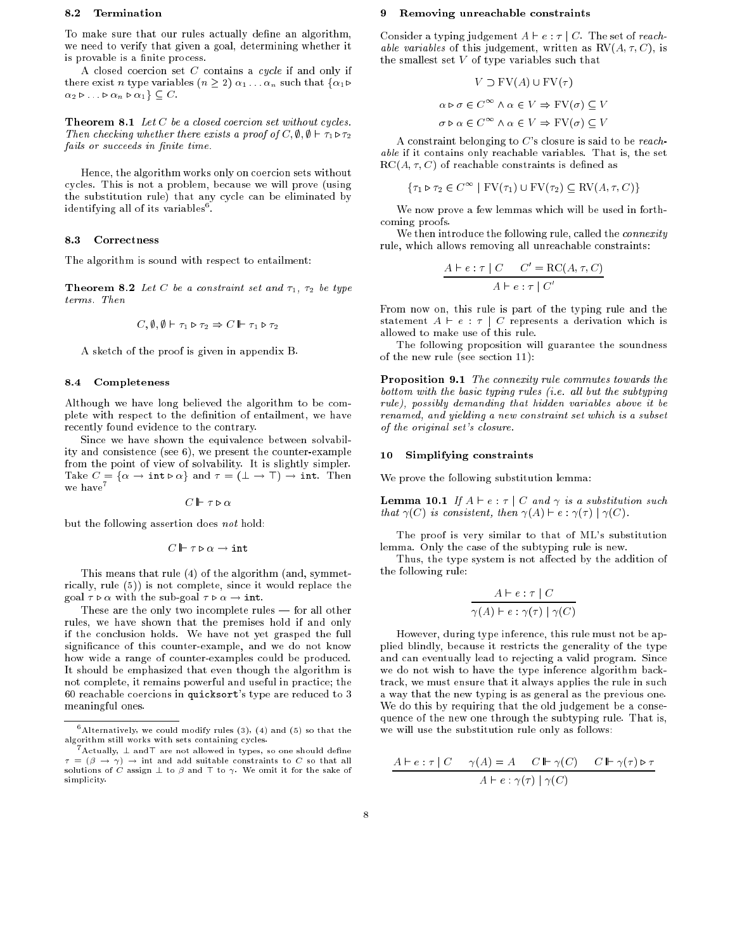# 8.2 Termination

To make sure that our rules actually define an algorithm, we need to verify that given a goal, determining whether it is provable is a finite process.

A closed coercion set  $C$  contains a  $cycle$  if and only if there exist *n* type variables  $(n \geq 2)$   $\alpha_1 \dots \alpha_n$  such that  $\{\alpha_1 \triangleright$  $\alpha_2 \triangleright \ldots \triangleright \alpha_n \triangleright \alpha_1 \} \subseteq C$ .

Theorem 8.1 Let C be a closed coercion set without cycles. Then checking whether there exists a proof of C,  $\emptyset$ ,  $\emptyset \vdash \tau_1 \triangleright \tau_2$ fails or succeeds in finite time.

Hence, the algorithm works only on coercion sets without cycles. This is not a problem, because we will prove (using the substitution rule) that any cycle can be eliminated by identifying all of its variables".

#### 8.3 Correctness

The algorithm is sound with respect to entailment:

**Theorem 8.2** Let C be a constraint set and  $\tau_1$ ,  $\tau_2$  be type terms. Then

$$
C, \emptyset, \emptyset \vdash \tau_1 \triangleright \tau_2 \Rightarrow C \Vdash \tau_1 \triangleright \tau_2
$$

A sketch of the proof is given in appendix B.

# 8.4 Completeness

Although we have long believed the algorithm to be complete with respect to the definition of entailment, we have recently found evidence to the contrary.

Since we have shown the equivalence between solvability and consistence (see 6), we present the counter-example from the point of view of solvability. It is slightly simpler. Take  $C = {\alpha \rightarrow \text{int} \triangleright \alpha}$  and  $\tau = (\bot \rightarrow \top) \rightarrow \text{int. Then}$ we have<br>  $\!7$ 

$$
C \Vdash \tau \triangleright \alpha
$$

but the following assertion does not hold:

$$
C \Vdash \tau \triangleright \alpha \rightarrow \texttt{int}
$$

This means that rule (4) of the algorithm (and, symmetrically, rule (5)) is not complete, since it would replace the goal  $\tau \triangleright \alpha$  with the sub-goal  $\tau \triangleright \alpha \rightarrow \text{int.}$ 

These are the only two incomplete rules  $-$  for all other rules, we have shown that the premises hold if and only if the conclusion holds. We have not yet grasped the full signicance of this counter-example, and we do not know how wide a range of counter-examples could be produced. It should be emphasized that even though the algorithm is not complete, it remains powerful and useful in practice; the 60 reachable coercions in quicksort's type are reduced to 3 meaningful ones.

# Removing unreachable constraints

Consider a typing judgement  $A \vdash e : \tau \mid C$ . The set of reach*able variables* of this judgement, written as  $RV(A, \tau, C)$ , is the smallest set  $V$  of type variables such that

$$
V \supset \text{FV}(A) \cup \text{FV}(\tau)
$$

$$
\alpha \triangleright \sigma \in C^{\infty} \land \alpha \in V \Rightarrow \text{FV}(\sigma) \subseteq V
$$

$$
\sigma \triangleright \alpha \in C^{\infty} \land \alpha \in V \Rightarrow \text{FV}(\sigma) \subseteq V
$$

A constraint belonging to  $C$ 's closure is said to be reachable if it contains only reachable variables. That is, the set  $RC(A, \tau, C)$  of reachable constraints is defined as

$$
\{\tau_1 \triangleright \tau_2 \in C^{\infty} \mid \text{FV}(\tau_1) \cup \text{FV}(\tau_2) \subseteq \text{RV}(A, \tau, C)\}
$$

We now prove a few lemmas which will be used in forthcoming proofs.

We then introduce the following rule, called the *connexity* rule, which allows removing all unreachable constraints:

$$
\frac{A \vdash e : \tau \mid C \quad C' = \text{RC}(A, \tau, C)}{A \vdash e : \tau \mid C'}
$$

From now on, this rule is part of the typing rule and the statement  $A \vdash e : \tau \mid C$  represents a derivation which is allowed to make use of this rule.

The following proposition will guarantee the soundness of the new rule (see section 11):

Proposition 9.1 The connexity rule commutes towards the bottom with the basic typing rules (i.e. all but the subtyping rule), possibly demanding that hidden variables above it be renamed, and yielding a new constraint set which is a subset of the original set's closure.

#### $10$ Simplifying constraints

We prove the following substitution lemma:

**Lemma 10.1** If  $A \vdash e : \tau \mid C$  and  $\gamma$  is a substitution such that  $\gamma(C)$  is consistent, then  $\gamma(A) \vdash e : \gamma(\tau) | \gamma(C)$ .

The proof is very similar to that of ML's substitution lemma. Only the case of the subtyping rule is new.

Thus, the type system is not affected by the addition of the following rule:

$$
\frac{A \vdash e : \tau \mid C}{\gamma(A) \vdash e : \gamma(\tau) \mid \gamma(C)}
$$

However, during type inference, this rule must not be applied blindly, because it restricts the generality of the type and can eventually lead to rejecting a valid program. Since we do not wish to have the type inference algorithm backtrack, we must ensure that it always applies the rule in such a way that the new typing is as general as the previous one. We do this by requiring that the old judgement be a consequence of the new one through the subtyping rule. That is, we will use the substitution rule only as follows:

$$
A \vdash e : \tau \mid C \quad \gamma(A) = A \quad C \Vdash \gamma(C) \quad C \Vdash \gamma(\tau) \triangleright \tau
$$

$$
A \vdash e : \gamma(\tau) \mid \gamma(C)
$$

<sup>6</sup> Alternatively, we could modify rules (3), (4) and (5) so that the algorithm still works with sets containing cycles.

Actually,  $\pm$  and t are not allowed in types, so one should define  $= (\beta \rightarrow \gamma) \rightarrow \text{int}$  and add suitable constraints to C so that all solutions of  $\acute{C}$  assign  $\perp$  to  $\beta$  and  $\top$  to  $\gamma$ . We omit it for the sake of simplicity.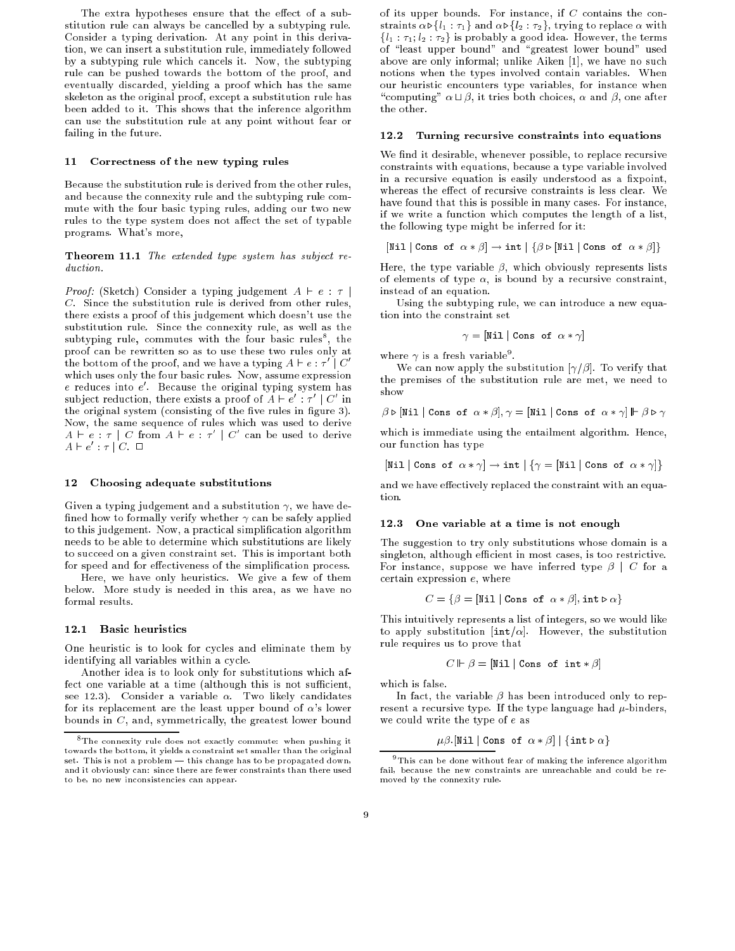The extra hypotheses ensure that the effect of a substitution rule can always be cancelled by a subtyping rule. Consider a typing derivation. At any point in this derivation, we can insert a substitution rule, immediately followed by a subtyping rule which cancels it. Now, the subtyping rule can be pushed towards the bottom of the proof, and eventually discarded, yielding a proof which has the same skeleton as the original proof, except a substitution rule has been added to it. This shows that the inference algorithm can use the substitution rule at any point without fear or failing in the future.

#### 11 Correctness of the new typing rules

Because the substitution rule is derived from the other rules, and because the connexity rule and the subtyping rule commute with the four basic typing rules, adding our two new rules to the type system does not affect the set of typable programs. What's more,

Theorem 11.1 The extended type system has subject reduction.

*Proof:* (Sketch) Consider a typing judgement  $A \vdash e : \tau$ C. Since the substitution rule is derived from other rules, there exists a proof of this judgement which doesn't use the substitution rule. Since the connexity rule, as well as the subtyping rule, commutes with the four basic rules , the proof can be rewritten so as to use these two rules only at the bottom of the proof, and we have a typing  $A \vdash e : \tau' \mid C'$ which uses only the four basic rules. Now, assume expression e reduces into e <sup>0</sup> . Because the original typing system has subject reduction, there exists a proof of  $A \vdash e' : \tau' \mid C'$  in the original system (consisting of the five rules in figure 3). Now, the same sequence of rules which was used to derive  $A \vdash e : \tau \mid C$  from  $A \vdash e : \tau' \mid C'$  can be used to derive  $A \vdash e' : \tau \mathbin{\mathop{\text{--}}\nolimits} C. \ \Box$ 

# 12 Choosing adequate substitutions

Given a typing judgement and a substitution  $\gamma$ , we have defined how to formally verify whether  $\gamma$  can be safely applied to this judgement. Now, a practical simplication algorithm needs to be able to determine which substitutions are likely to succeed on a given constraint set. This is important both for speed and for effectiveness of the simplification process.

Here, we have only heuristics. We give a few of them below. More study is needed in this area, as we have no formal results.

# 12.1 Basic heuristics

One heuristic is to look for cycles and eliminate them by identifying all variables within a cycle.

Another idea is to look only for substitutions which affect one variable at a time (although this is not sufficient, see 12.3). Consider a variable  $\alpha$ . Two likely candidates for its replacement are the least upper bound of  $\alpha$ 's lower bounds in  $C$ , and, symmetrically, the greatest lower bound

of its upper bounds. For instance, if  $C$  contains the constraints  $\alpha \triangleright \{l_1 : \tau_1\}$  and  $\alpha \triangleright \{l_2 : \tau_2\}$ , trying to replace  $\alpha$  with  ${l_1 : \tau_1; l_2 : \tau_2}$  is probably a good idea. However, the terms of "least upper bound" and "greatest lower bound" used above are only informal; unlike Aiken [1], we have no such notions when the types involved contain variables. When our heuristic encounters type variables, for instance when "computing"  $\alpha \sqcup \beta$ , it tries both choices,  $\alpha$  and  $\beta$ , one after the other.

#### 12.2 Turning recursive constraints into equations

We find it desirable, whenever possible, to replace recursive constraints with equations, because a type variable involved in a recursive equation is easily understood as a fixpoint, whereas the effect of recursive constraints is less clear. We have found that this is possible in many cases. For instance, if we write a function which computes the length of a list, the following type might be inferred for it:

$$
[\mathtt{Nil} \mid \mathtt{Cons\ of\ } \alpha * \beta] \rightarrow \mathtt{int} \mid \{\beta \triangleright [\mathtt{Nil} \mid \mathtt{Cons\ of\ } \alpha * \beta]\}
$$

Here, the type variable  $\beta$ , which obviously represents lists of elements of type  $\alpha$ , is bound by a recursive constraint, instead of an equation.

Using the subtyping rule, we can introduce a new equation into the constraint set

$$
\gamma = [\texttt{Nil} \mid \texttt{Cons of} \ \alpha * \gamma]
$$

where  $\gamma$  is a Iresh variable".

We can now apply the substitution  $[\gamma/\beta]$ . To verify that the premises of the substitution rule are met, we need to show

$$
\beta \triangleright [\mathtt{Nil} \mid \mathtt{Cons\ of\ } \alpha * \beta], \gamma = [\mathtt{Nil} \mid \mathtt{Cons\ of\ } \alpha * \gamma] \Vdash \beta \triangleright \gamma
$$

which is immediate using the entailment algorithm. Hence, our function has type

$$
[\mathtt{Nil} \mid \mathtt{Cons\ of}\ \alpha * \gamma] \to \mathtt{int} \mid \{\gamma = [\mathtt{Nil} \mid \mathtt{Cons\ of}\ \alpha * \gamma]\}
$$

and we have effectively replaced the constraint with an equation.

# 12.3 One variable at a time is not enough

The suggestion to try only substitutions whose domain is a singleton, although efficient in most cases, is too restrictive. For instance, suppose we have inferred type  $\beta \mid C$  for a certain expression e, where

$$
C = \{ \beta = [\texttt{Nil} \mid \texttt{Cons of } \alpha * \beta], \texttt{int} \triangleright \alpha \}
$$

This intuitively represents a list of integers, so we would like to apply substitution [int/ $\alpha$ ]. However, the substitution rule requires us to prove that

$$
C \Vdash \beta = [\texttt{Nil} \mid \texttt{Cons of int} * \beta]
$$

which is false.

In fact, the variable  $\beta$  has been introduced only to represent a recursive type. If the type language had  $\mu$ -binders, we could write the type of e as

$$
\mu\beta.\mathtt{[Nil| Cons of }\alpha*\beta]\mathtt{|}\{\mathtt{int}\triangleright\alpha\}
$$

<sup>8</sup> The connexity rule does not exactly commute: when pushing it towards the bottom, it yields a constraint set smaller than the original set. This is not a problem - this change has to be propagated down, and it obviously can: since there are fewer constraints than there used to be, no new inconsistencies can appear.

<sup>9</sup> This can be done without fear of making the inference algorithm fail, because the new constraints are unreachable and could be removed by the connexity rule.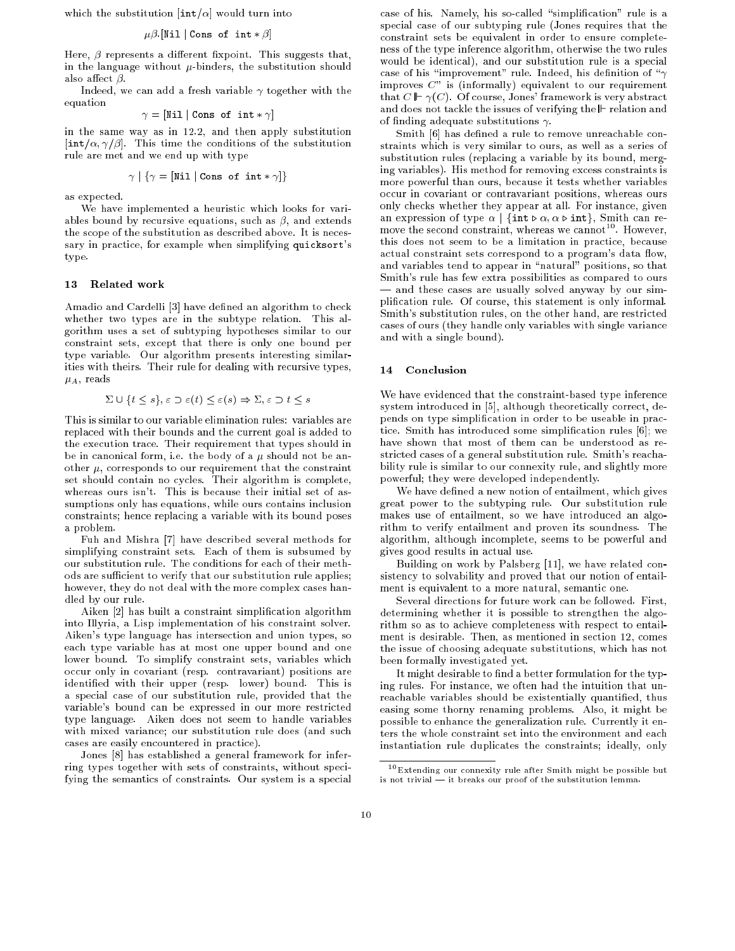which the substitution  $[\text{int}/\alpha]$  would turn into

$$
\mu\beta
$$
 [Nil | Cons of int \*  $\beta$ ]

Here,  $\beta$  represents a different fixpoint. This suggests that, in the language without  $\mu$ -binders, the substitution should also affect  $\beta$ .

Indeed, we can add a fresh variable  $\gamma$  together with the equation

$$
\gamma = [\texttt{Nil} | \texttt{Cons of int} * \gamma]
$$

in the same way as in 12.2, and then apply substitution  $[\text{int}/\alpha, \gamma/\beta]$ . This time the conditions of the substitution rule are met and we end up with type

$$
\gamma \mid \{\gamma = [\mathtt{Nil} \mid \mathtt{Cons\ of\ int} * \gamma]\}
$$

as expected.

We have implemented a heuristic which looks for variables bound by recursive equations, such as  $\beta$ , and extends the scope of the substitution as described above. It is necessary in practice, for example when simplifying quicksort's type.

#### Related work 13

Amadio and Cardelli [3] have defined an algorithm to check whether two types are in the subtype relation. This algorithm uses a set of subtyping hypotheses similar to our constraint sets, except that there is only one bound per type variable. Our algorithm presents interesting similarities with theirs. Their rule for dealing with recursive types,  $\mu_A$ , reads

$$
\Sigma \cup \{t \le s\}, \varepsilon \supset \varepsilon(t) \le \varepsilon(s) \Rightarrow \Sigma, \varepsilon \supset t \le s
$$

This is similar to our variable elimination rules: variables are replaced with their bounds and the current goal is added to the execution trace. Their requirement that types should in be in canonical form, i.e. the body of a  $\mu$  should not be another  $\mu$ , corresponds to our requirement that the constraint set should contain no cycles. Their algorithm is complete, whereas ours isn't. This is because their initial set of assumptions only has equations, while ours contains inclusion constraints; hence replacing a variable with its bound poses a problem.

Fuh and Mishra [7] have described several methods for simplifying constraint sets. Each of them is subsumed by our substitution rule. The conditions for each of their methods are sufficient to verify that our substitution rule applies; however, they do not deal with the more complex cases handled by our rule.

Aiken [2] has built a constraint simplication algorithm into Illyria, a Lisp implementation of his constraint solver. Aiken's type language has intersection and union types, so each type variable has at most one upper bound and one lower bound. To simplify constraint sets, variables which occur only in covariant (resp. contravariant) positions are identied with their upper (resp. lower) bound. This is a special case of our substitution rule, provided that the variable's bound can be expressed in our more restricted type language. Aiken does not seem to handle variables with mixed variance; our substitution rule does (and such cases are easily encountered in practice).

Jones [8] has established a general framework for inferring types together with sets of constraints, without specifying the semantics of constraints. Our system is a special case of his. Namely, his so-called "simplification" rule is a special case of our subtyping rule (Jones requires that the constraint sets be equivalent in order to ensure completeness of the type inference algorithm, otherwise the two rules would be identical), and our substitution rule is a special case of his "improvement" rule. Indeed, his definition of " $\gamma$ improves  $C$ " is (informally) equivalent to our requirement that  $C \Vdash \gamma(C)$ . Of course, Jones' framework is very abstract and does not tackle the issues of verifying the  $\mathbb F$  relation and of finding adequate substitutions  $\gamma$ .

Smith [6] has defined a rule to remove unreachable constraints which is very similar to ours, as well as a series of substitution rules (replacing a variable by its bound, merging variables). His method for removing excess constraints is more powerful than ours, because it tests whether variables occur in covariant or contravariant positions, whereas ours only checks whether they appear at all. For instance, given an expression of type  $\alpha$  | {int  $\triangleright \alpha$ ,  $\alpha \triangleright \text{int}$ }, Smith can remove the second constraint, whereas we cannot  $\lceil$  . However, this does not seem to be a limitation in practice, because actual constraint sets correspond to a program's data flow, and variables tend to appear in "natural" positions, so that Smith's rule has few extra possibilities as compared to ours - and these cases are usually solved anyway by our simplication rule. Of course, this statement is only informal. Smith's substitution rules, on the other hand, are restricted cases of ours (they handle only variables with single variance and with a single bound).

# 14 Conclusion

We have evidenced that the constraint-based type inference system introduced in [5], although theoretically correct, depends on type simplication in order to be useable in practice. Smith has introduced some simplication rules [6]; we have shown that most of them can be understood as restricted cases of a general substitution rule. Smith's reachability rule is similar to our connexity rule, and slightly more powerful; they were developed independently.

We have defined a new notion of entailment, which gives great power to the subtyping rule. Our substitution rule makes use of entailment, so we have introduced an algorithm to verify entailment and proven its soundness. The algorithm, although incomplete, seems to be powerful and gives good results in actual use.

Building on work by Palsberg [11], we have related consistency to solvability and proved that our notion of entailment is equivalent to a more natural, semantic one.

Several directions for future work can be followed. First, determining whether it is possible to strengthen the algorithm so as to achieve completeness with respect to entailment is desirable. Then, as mentioned in section 12, comes the issue of choosing adequate substitutions, which has not been formally investigated yet.

It might desirable to find a better formulation for the typing rules. For instance, we often had the intuition that unreachable variables should be existentially quantified, thus easing some thorny renaming problems. Also, it might be possible to enhance the generalization rule. Currently it enters the whole constraint set into the environment and each instantiation rule duplicates the constraints; ideally, only

<sup>10</sup>Extending our connexity rule after Smith might be possible but is not trivial  $-$  it breaks our proof of the substitution lemma.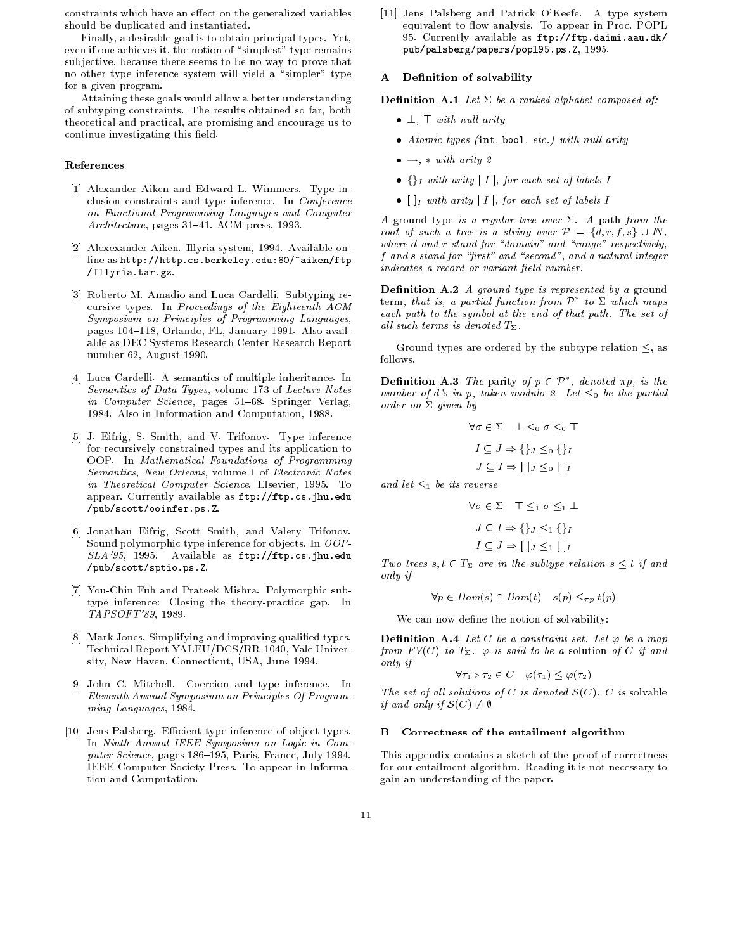constraints which have an effect on the generalized variables should be duplicated and instantiated.

Finally, a desirable goal is to obtain principal types. Yet, even if one achieves it, the notion of "simplest" type remains sub jective, because there seems to be no way to prove that no other type inference system will yield a "simpler" type for a given program.

Attaining these goals would allow a better understanding of subtyping constraints. The results obtained so far, both theoretical and practical, are promising and encourage us to continue investigating this field.

# References

- [1] Alexander Aiken and Edward L. Wimmers. Type inclusion constraints and type inference. In Conference on Functional Programming Languages and Computer  $Architecture$ , pages 31-41. ACM press, 1993.
- [2] Alexexander Aiken. Illyria system, 1994. Available online as http://http.cs.berkeley.edu:80/"aiken/ftp /Illyria.tar.gz.
- [3] Roberto M. Amadio and Luca Cardelli. Subtyping recursive types. In Proceedings of the Eighteenth ACM Symposium on Principles of Programming Languages, pages 104-118, Orlando, FL, January 1991. Also available as DEC Systems Research Center Research Report number 62, August 1990.
- [4] Luca Cardelli. A semantics of multiple inheritance. In Semantics of Data Types, volume 173 of Lecture Notes in Computer Science, pages 51-68. Springer Verlag, 1984. Also in Information and Computation, 1988.
- [5] J. Eifrig, S. Smith, and V. Trifonov. Type inference for recursively constrained types and its application to OOP. In Mathematical Foundations of Programming Semantics, New Orleans, volume 1 of Electronic Notes in Theoretical Computer Science. Elsevier, 1995. To appear. Currently available as ftp://ftp.cs.jhu.edu /pub/scott/ooinfer.ps.Z.
- [6] Jonathan Eifrig, Scott Smith, and Valery Trifonov. Sound polymorphic type inference for ob jects. In OOP-SLA'95, 1995. Available as ftp://ftp.cs.jhu.edu /pub/scott/sptio.ps.Z.
- [7] You-Chin Fuh and Prateek Mishra. Polymorphic subtype inference: Closing the theory-practice gap. In TAPSOFT'89, 1989.
- [8] Mark Jones. Simplifying and improving qualified types. Technical Report YALEU/DCS/RR-1040, Yale University, New Haven, Connecticut, USA, June 1994.
- [9] John C. Mitchell. Coercion and type inference. In Eleventh Annual Symposium on Principles Of Programming Languages, 1984.
- [10] Jens Palsberg. Efficient type inference of object types. In Ninth Annual IEEE Symposium on Logic in Computer Science, pages 186-195, Paris, France, July 1994. IEEE Computer Society Press. To appear in Information and Computation.

[11] Jens Palsberg and Patrick O'Keefe. A type system equivalent to flow analysis. To appear in Proc. POPL 95. Currently available as ftp://ftp.daimi.aau.dk/ pub/palsberg/papers/popl95.ps.Z, 1995.

# A Definition of solvability

**Definition A.1** Let  $\Sigma$  be a ranked alphabet composed of:

- $\perp$ ,  $\top$  with null arity
- $\bullet$  Atomic types (int, bool, etc.) with null arity
- $\bullet \rightarrow$ , \* with arity 2
- $\{\}_I$  with arity | I |, for each set of labels I
- $\bullet$   $\lceil \cdot \rceil$  with arity  $\lceil \cdot \rceil$ , for each set of labels I

A ground type is a regular tree over  $\Sigma$ . A path from the root of such a tree is a string over  $P = \{\tilde{d}, r, f, s\} \cup \mathbb{N}$ , where  $d$  and  $r$  stand for "domain" and "range" respectively,  $f$  and  $s$  stand for "first" and "second", and a natural integer indicates a record or variant field number.

**Definition A.2** A ground type is represented by a ground  ${\rm term},\;that\;us,\;a\;partial\;l$  function from  $P$  -to  $\Sigma$  which maps each path to the symbol at the end of that path. The set of all such terms is denoted  $T_{\Sigma}$ .

Ground types are ordered by the subtype relation  $\leq$ , as follows.

**Demition A.3** The parity of  $p \in \mathcal{P}$ , denoted  $\pi p$ , is the number of d's in p, taken modulo 2. Let  $\leq_0$  be the partial order on  $\Sigma$  given by

$$
\forall \sigma \in \Sigma \quad \bot \leq_0 \sigma \leq_0 \top
$$

$$
I \subseteq J \Rightarrow \{\}_J \leq_0 \{\}_I
$$

$$
J \subseteq I \Rightarrow [\ ]_J \leq_0 [\ ]_I
$$

and let  $\leq_1$  be its reverse

$$
\forall \sigma \in \Sigma \quad \top \leq_1 \sigma \leq_1 \bot
$$

$$
J \subseteq I \Rightarrow \{\}_J \leq_1 \{\}_I
$$

$$
I \subseteq J \Rightarrow [\ ]_J \leq_1 [\ ]_I
$$

Two trees  $s, t \in T_{\Sigma}$  are in the subtype relation  $s \leq t$  if and only if

 $\forall p \in Dom(s) \cap Dom(t) \quad s(p) \leq_{\pi p} t(p)$ 

We can now define the notion of solvability:

**Definition A.4** Let C be a constraint set. Let  $\varphi$  be a map from  $FV(C)$  to  $T_{\Sigma}$ .  $\varphi$  is said to be a solution of C if and only if

$$
\forall \tau_1 \triangleright \tau_2 \in C \quad \varphi(\tau_1) \leq \varphi(\tau_2)
$$

The set of all solutions of C is denoted  $\mathcal{S}(C)$ . C is solvable if and only if  $\mathcal{S}(C) \neq \emptyset$ .

# B Correctness of the entailment algorithm

This appendix contains a sketch of the proof of correctness for our entailment algorithm. Reading it is not necessary to gain an understanding of the paper.